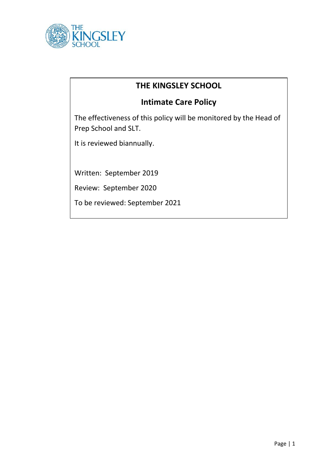

## **THE KINGSLEY SCHOOL**

# **Intimate Care Policy**

The effectiveness of this policy will be monitored by the Head of Prep School and SLT.

It is reviewed biannually.

Written: September 2019

Review: September 2020

To be reviewed: September 2021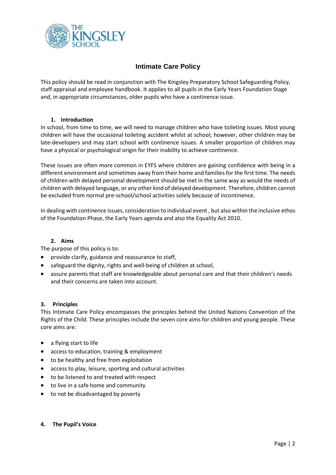

### **Intimate Care Policy**

This policy should be read in conjunction with The Kingsley Preparatory School Safeguarding Policy, staff appraisal and employee handbook. It applies to all pupils in the Early Years Foundation Stage and, in appropriate circumstances, older pupils who have a continence issue.

#### **1. Introduction**

In school, from time to time, we will need to manage children who have toileting issues. Most young children will have the occasional toileting accident whilst at school; however, other children may be late-developers and may start school with continence issues. A smaller proportion of children may have a physical or psychological origin for their inability to achieve continence.

These issues are often more common in EYFS where children are gaining confidence with being in a different environment and sometimes away from their home and families for the first time. The needs of children with delayed personal development should be met in the same way as would the needs of children with delayed language, or any other kind of delayed development. Therefore, children cannot be excluded from normal pre-school/school activities solely because of incontinence.

In dealing with continence issues, consideration to individual event , but also within the inclusive ethos of the Foundation Phase, the Early Years agenda and also the Equality Act 2010.

#### **2. Aims**

The purpose of this policy is to:

- provide clarify, guidance and reassurance to staff,
- safeguard the dignity, rights and well-being of children at school,
- assure parents that staff are knowledgeable about personal care and that their children's needs and their concerns are taken into account.

#### **3. Principles**

This Intimate Care Policy encompasses the principles behind the United Nations Convention of the Rights of the Child. These principles include the seven core aims for children and young people. These core aims are:

- a flying start to life
- access to education, training & employment
- to be healthy and free from exploitation
- access to play, leisure, sporting and cultural activities
- to be listened to and treated with respect
- to live in a safe home and community
- to not be disadvantaged by poverty
- **4. The Pupil's Voice**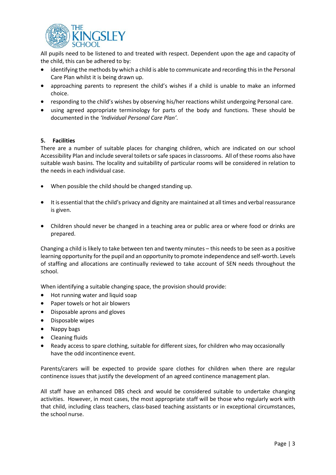

All pupils need to be listened to and treated with respect. Dependent upon the age and capacity of the child, this can be adhered to by:

- identifying the methods by which a child is able to communicate and recording this in the Personal Care Plan whilst it is being drawn up.
- approaching parents to represent the child's wishes if a child is unable to make an informed choice.
- responding to the child's wishes by observing his/her reactions whilst undergoing Personal care.
- using agreed appropriate terminology for parts of the body and functions. These should be documented in the *'Individual Personal Care Plan'*.

#### **5. Facilities**

There are a number of suitable places for changing children, which are indicated on our school Accessibility Plan and include several toilets or safe spaces in classrooms. All of these rooms also have suitable wash basins. The locality and suitability of particular rooms will be considered in relation to the needs in each individual case.

- When possible the child should be changed standing up.
- It is essential that the child's privacy and dignity are maintained at all times and verbal reassurance is given.
- Children should never be changed in a teaching area or public area or where food or drinks are prepared.

Changing a child is likely to take between ten and twenty minutes – this needs to be seen as a positive learning opportunity for the pupil and an opportunity to promote independence and self-worth. Levels of staffing and allocations are continually reviewed to take account of SEN needs throughout the school.

When identifying a suitable changing space, the provision should provide:

- Hot running water and liquid soap
- Paper towels or hot air blowers
- Disposable aprons and gloves
- Disposable wipes
- Nappy bags
- Cleaning fluids
- Ready access to spare clothing, suitable for different sizes, for children who may occasionally have the odd incontinence event.

Parents/carers will be expected to provide spare clothes for children when there are regular continence issues that justify the development of an agreed continence management plan.

All staff have an enhanced DBS check and would be considered suitable to undertake changing activities. However, in most cases, the most appropriate staff will be those who regularly work with that child, including class teachers, class-based teaching assistants or in exceptional circumstances, the school nurse.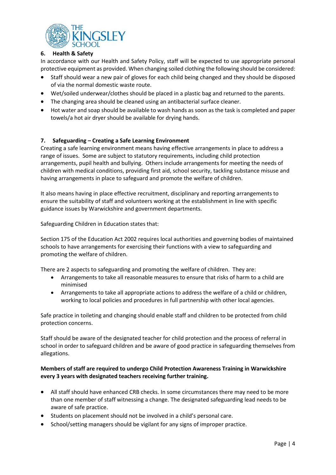

#### **6. Health & Safety**

In accordance with our Health and Safety Policy, staff will be expected to use appropriate personal protective equipment as provided. When changing soiled clothing the following should be considered:

- Staff should wear a new pair of gloves for each child being changed and they should be disposed of via the normal domestic waste route.
- Wet/soiled underwear/clothes should be placed in a plastic bag and returned to the parents.
- The changing area should be cleaned using an antibacterial surface cleaner.
- Hot water and soap should be available to wash hands as soon as the task is completed and paper towels/a hot air dryer should be available for drying hands.

#### **7. Safeguarding – Creating a Safe Learning Environment**

Creating a safe learning environment means having effective arrangements in place to address a range of issues. Some are subject to statutory requirements, including child protection arrangements, pupil health and bullying. Others include arrangements for meeting the needs of children with medical conditions, providing first aid, school security, tackling substance misuse and having arrangements in place to safeguard and promote the welfare of children.

It also means having in place effective recruitment, disciplinary and reporting arrangements to ensure the suitability of staff and volunteers working at the establishment in line with specific guidance issues by Warwickshire and government departments.

Safeguarding Children in Education states that:

Section 175 of the Education Act 2002 requires local authorities and governing bodies of maintained schools to have arrangements for exercising their functions with a view to safeguarding and promoting the welfare of children.

There are 2 aspects to safeguarding and promoting the welfare of children. They are:

- Arrangements to take all reasonable measures to ensure that risks of harm to a child are minimised
- Arrangements to take all appropriate actions to address the welfare of a child or children, working to local policies and procedures in full partnership with other local agencies.

Safe practice in toileting and changing should enable staff and children to be protected from child protection concerns.

Staff should be aware of the designated teacher for child protection and the process of referral in school in order to safeguard children and be aware of good practice in safeguarding themselves from allegations.

#### **Members of staff are required to undergo Child Protection Awareness Training in Warwickshire every 3 years with designated teachers receiving further training.**

- All staff should have enhanced CRB checks. In some circumstances there may need to be more than one member of staff witnessing a change. The designated safeguarding lead needs to be aware of safe practice.
- Students on placement should not be involved in a child's personal care.
- School/setting managers should be vigilant for any signs of improper practice.